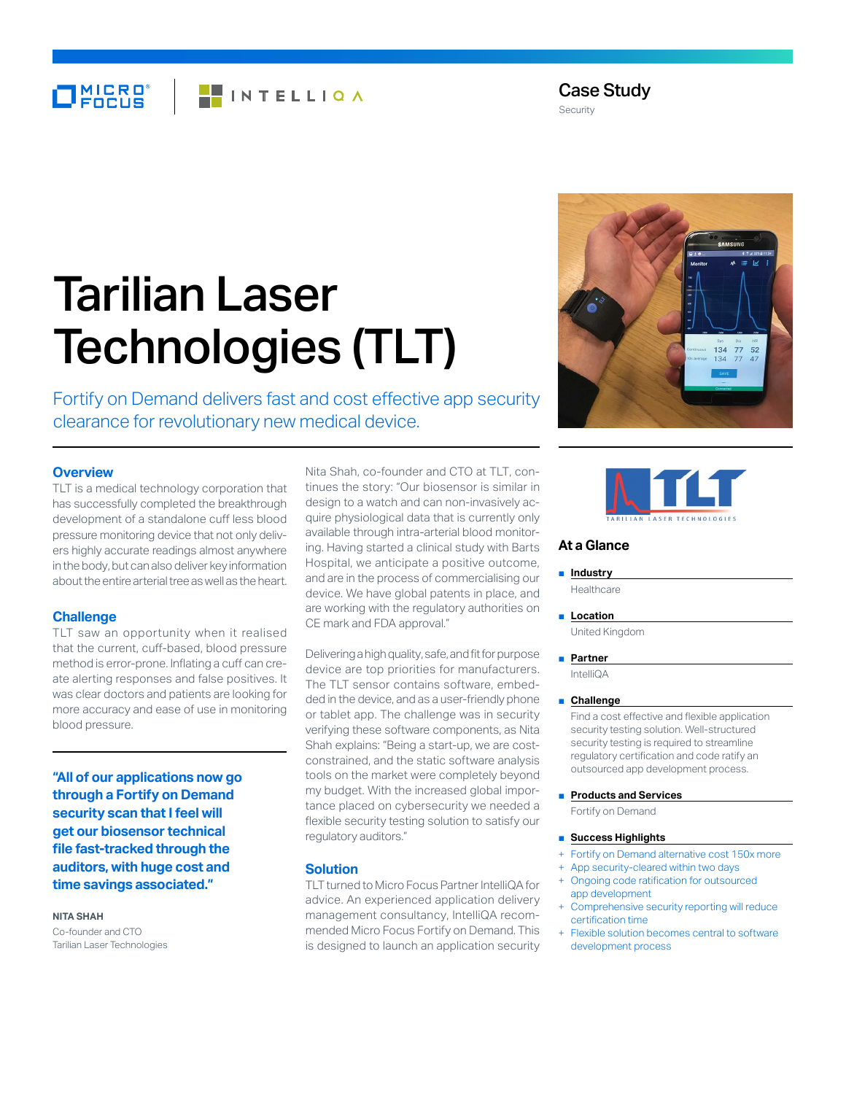# MICRO<sup>®</sup> **FINTELLIQA**

Case Study Security

# Tarilian Laser Technologies (TLT)

Fortify on Demand delivers fast and cost effective app security clearance for revolutionary new medical device.

# **Overview**

TLT is a medical technology corporation that has successfully completed the breakthrough development of a standalone cuff less blood pressure monitoring device that not only delivers highly accurate readings almost anywhere in the body, but can also deliver key information about the entire arterial tree as well as the heart.

# **Challenge**

TLT saw an opportunity when it realised that the current, cuff-based, blood pressure method is error-prone. Inflating a cuff can create alerting responses and false positives. It was clear doctors and patients are looking for more accuracy and ease of use in monitoring blood pressure.

**"All of our applications now go through a Fortify on Demand security scan that I feel will get our biosensor technical file fast-tracked through the auditors, with huge cost and time savings associated."**

### **NITA SHAH**

Co-founder and CTO Tarilian Laser Technologies Nita Shah, co-founder and CTO at TLT, continues the story: "Our biosensor is similar in design to a watch and can non-invasively acquire physiological data that is currently only available through intra-arterial blood monitoring. Having started a clinical study with Barts Hospital, we anticipate a positive outcome, and are in the process of commercialising our device. We have global patents in place, and are working with the regulatory authorities on CE mark and FDA approval."

Delivering a high quality, safe, and fit for purpose device are top priorities for manufacturers. The TLT sensor contains software, embedded in the device, and as a user-friendly phone or tablet app. The challenge was in security verifying these software components, as Nita Shah explains: "Being a start-up, we are costconstrained, and the static software analysis tools on the market were completely beyond my budget. With the increased global importance placed on cybersecurity we needed a flexible security testing solution to satisfy our regulatory auditors."

## **Solution**

TLT turned to Micro Focus Partner IntelliQA for advice. An experienced application delivery management consultancy, IntelliQA recommended Micro Focus Fortify on Demand. This is designed to launch an application security





# **At a Glance**

# ■ **Industry**

Healthcare

■ **Location** United Kingdom

#### ■ **Partner**

IntelliQA

## ■ **Challenge**

Find a cost effective and flexible application security testing solution. Well-structured security testing is required to streamline regulatory certification and code ratify an outsourced app development process.

## ■ **Products and Services**

Fortify on Demand

## ■ **Success Highlights**

- Fortify on Demand alternative cost 150x more
- App security-cleared within two days
- Ongoing code ratification for outsourced app development
- Comprehensive security reporting will reduce certification time
- Flexible solution becomes central to software development process